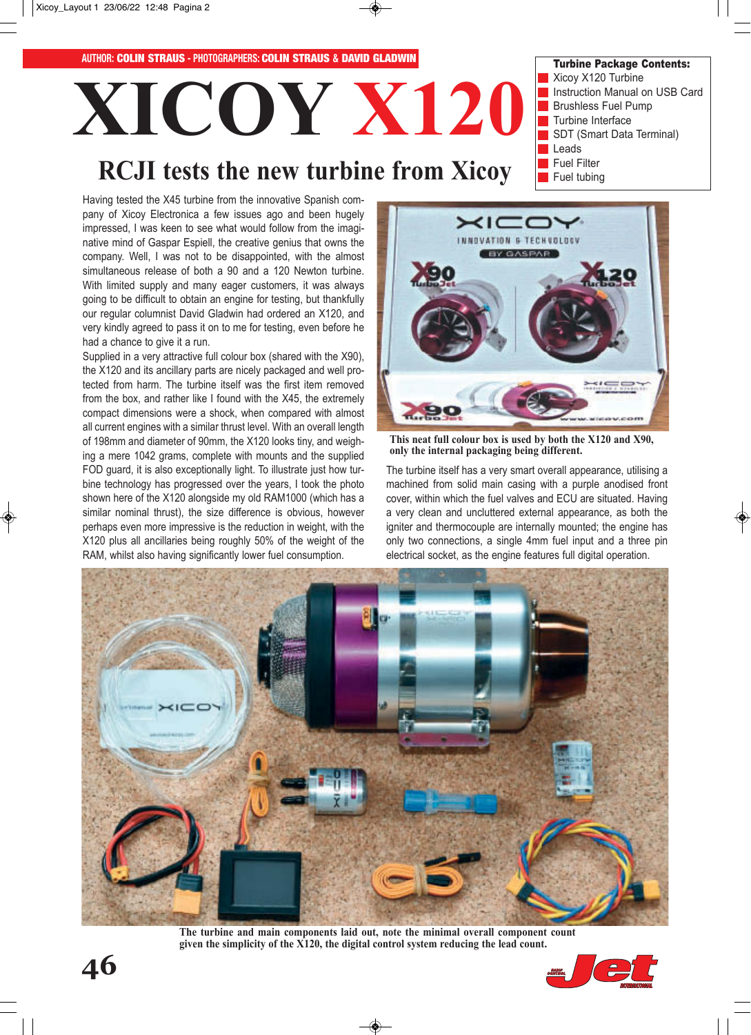

Xicoy X120 Turbine **XICOY X120** Instruction Manual on USB Card Brushless Fuel Pump Turbine Interface SDT (Smart Data Terminal) Leads Fuel Filter **RCJI tests the new turbine from Xicoy** Fuel tubing

Having tested the X45 turbine from the innovative Spanish company of Xicoy Electronica a few issues ago and been hugely impressed, I was keen to see what would follow from the imaginative mind of Gaspar Espiell, the creative genius that owns the company. Well, I was not to be disappointed, with the almost simultaneous release of both a 90 and a 120 Newton turbine. With limited supply and many eager customers, it was always going to be difficult to obtain an engine for testing, but thankfully our regular columnist David Gladwin had ordered an X120, and very kindly agreed to pass it on to me for testing, even before he had a chance to give it a run.

Supplied in a very attractive full colour box (shared with the X90), the X120 and its ancillary parts are nicely packaged and well protected from harm. The turbine itself was the first item removed from the box, and rather like I found with the X45, the extremely compact dimensions were a shock, when compared with almost all current engines with a similar thrust level. With an overall length of 198mm and diameter of 90mm, the X120 looks tiny, and weighing a mere 1042 grams, complete with mounts and the supplied FOD guard, it is also exceptionally light. To illustrate just how turbine technology has progressed over the years, I took the photo shown here of the X120 alongside my old RAM1000 (which has a similar nominal thrust), the size difference is obvious, however perhaps even more impressive is the reduction in weight, with the X120 plus all ancillaries being roughly 50% of the weight of the RAM, whilst also having significantly lower fuel consumption.



Turbine Package Contents:

**This neat full colour box is used by both the X120 and X90, only the internal packaging being different.**

The turbine itself has a very smart overall appearance, utilising a machined from solid main casing with a purple anodised front cover, within which the fuel valves and ECU are situated. Having a very clean and uncluttered external appearance, as both the igniter and thermocouple are internally mounted; the engine has only two connections, a single 4mm fuel input and a three pin electrical socket, as the engine features full digital operation.



**The turbine and main components laid out, note the minimal overall component count given the simplicity of the X120, the digital control system reducing the lead count.**

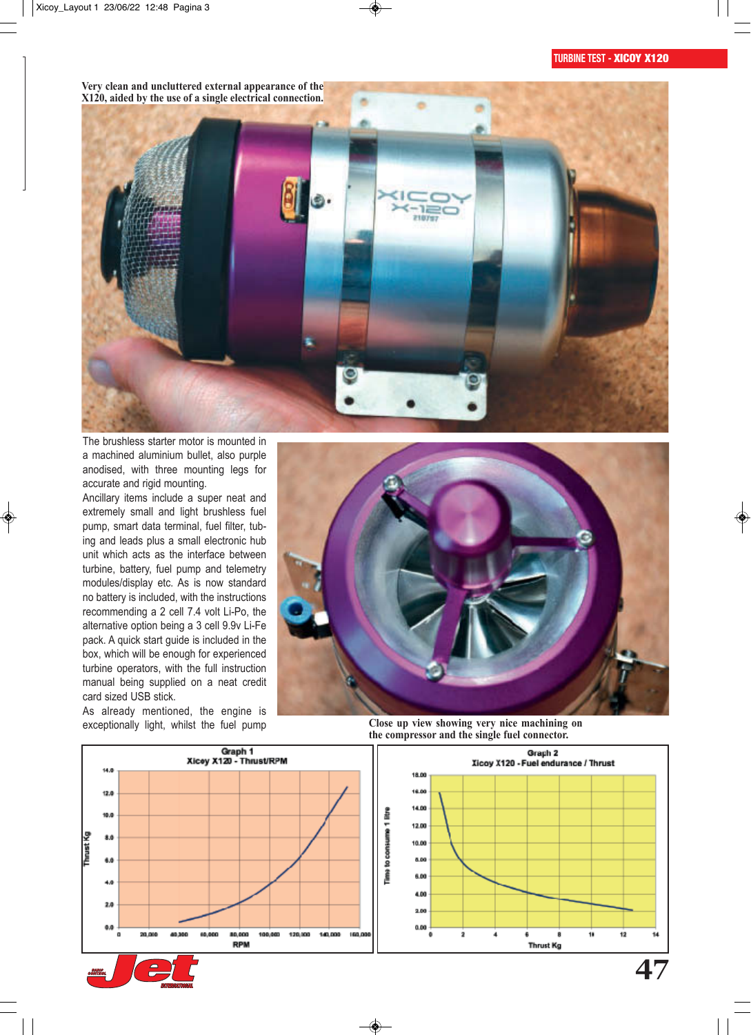**Very clean and uncluttered external appearance of the X120, aided by the use of a single electrical connection.**



The brushless starter motor is mounted in a machined aluminium bullet, also purple anodised, with three mounting legs for accurate and rigid mounting.

Ancillary items include a super neat and extremely small and light brushless fuel pump, smart data terminal, fuel filter, tubing and leads plus a small electronic hub unit which acts as the interface between turbine, battery, fuel pump and telemetry modules/display etc. As is now standard no battery is included, with the instructions recommending a 2 cell 7.4 volt Li-Po, the alternative option being a 3 cell 9.9v Li-Fe pack. A quick start guide is included in the box, which will be enough for experienced turbine operators, with the full instruction manual being supplied on a neat credit card sized USB stick.

As already mentioned, the engine is



exceptionally light, whilst the fuel pump **Close up view showing very nice machining on the compressor and the single fuel connector.**

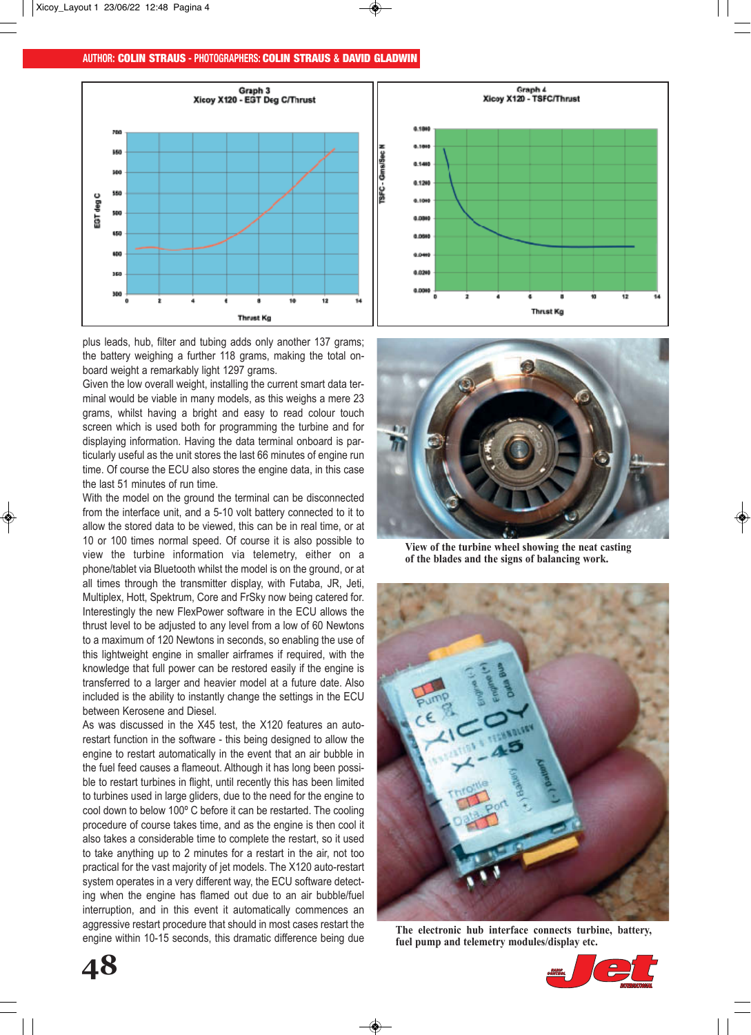# **AUTHOR:** COLIN STRAUS **- PHOTOGRAPHERS:** COLIN STRAUS **&** DAVID GLADWIN



plus leads, hub, filter and tubing adds only another 137 grams; the battery weighing a further 118 grams, making the total onboard weight a remarkably light 1297 grams.

Given the low overall weight, installing the current smart data terminal would be viable in many models, as this weighs a mere 23 grams, whilst having a bright and easy to read colour touch screen which is used both for programming the turbine and for displaying information. Having the data terminal onboard is particularly useful as the unit stores the last 66 minutes of engine run time. Of course the ECU also stores the engine data, in this case the last 51 minutes of run time.

With the model on the ground the terminal can be disconnected from the interface unit, and a 5-10 volt battery connected to it to allow the stored data to be viewed, this can be in real time, or at 10 or 100 times normal speed. Of course it is also possible to view the turbine information via telemetry, either on a phone/tablet via Bluetooth whilst the model is on the ground, or at all times through the transmitter display, with Futaba, JR, Jeti, Multiplex, Hott, Spektrum, Core and FrSky now being catered for. Interestingly the new FlexPower software in the ECU allows the thrust level to be adjusted to any level from a low of 60 Newtons to a maximum of 120 Newtons in seconds, so enabling the use of this lightweight engine in smaller airframes if required, with the knowledge that full power can be restored easily if the engine is transferred to a larger and heavier model at a future date. Also included is the ability to instantly change the settings in the ECU between Kerosene and Diesel.

As was discussed in the X45 test, the X120 features an autorestart function in the software - this being designed to allow the engine to restart automatically in the event that an air bubble in the fuel feed causes a flameout. Although it has long been possible to restart turbines in flight, until recently this has been limited to turbines used in large gliders, due to the need for the engine to cool down to below 100º C before it can be restarted. The cooling procedure of course takes time, and as the engine is then cool it also takes a considerable time to complete the restart, so it used to take anything up to 2 minutes for a restart in the air, not too practical for the vast majority of jet models. The X120 auto-restart system operates in a very different way, the ECU software detecting when the engine has flamed out due to an air bubble/fuel interruption, and in this event it automatically commences an aggressive restart procedure that should in most cases restart the engine within 10-15 seconds, this dramatic difference being due



**View of the turbine wheel showing the neat casting of the blades and the signs of balancing work.**



**The electronic hub interface connects turbine, battery, fuel pump and telemetry modules/display etc.**

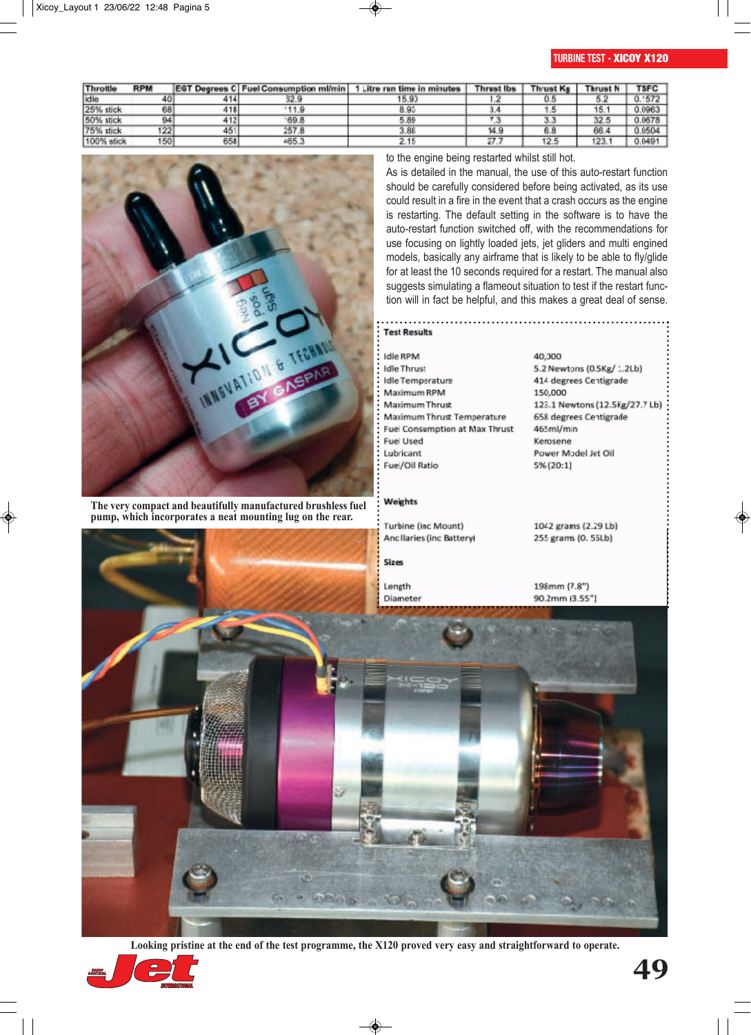# **TURBINE TEST -** XICOY X120

| Throttle   | <b>RPM</b> |     | EGT Degrees C Fuel Consumption mi/min | Litre run time in minutes | <b>Thrust Ibs</b> | <b>Thrust Kg</b> | Thrust N | <b>TSFC</b> |
|------------|------------|-----|---------------------------------------|---------------------------|-------------------|------------------|----------|-------------|
| idle       | 40         |     | 32.9                                  | 15.90                     |                   |                  |          | 1572        |
| 25% stick  | 68         | 418 | 111.9                                 | 8.93                      | a,s               |                  | 15.      | 7.0965      |
| 50% stick  | 94         | 412 | 169.8                                 | 5.89                      |                   | 3.3              | 32.5     | 0.0678      |
| 75% stick  | 122        | 45  | 257.8                                 | 3.88                      | 14.9              | 6.8              | 66.4     | 0.0504      |
| 100% stick | 150        | 658 | 465.3                                 | 2.15                      | 27.               | 12.5             | 123.1    | 0.0491      |



**The very compact and beautifully manufactured brushless fuel pump, which incorporates a neat mounting lug on the rear.**

### to the engine being restarted whilst still hot.

As is detailed in the manual, the use of this auto-restart function should be carefully considered before being activated, as its use could result in a fire in the event that a crash occurs as the engine is restarting. The default setting in the software is to have the auto-restart function switched off, with the recommendations for use focusing on lightly loaded jets, jet gliders and multi engined models, basically any airframe that is likely to be able to fly/glide for at least the 10 seconds required for a restart. The manual also suggests simulating a flameout situation to test if the restart function will in fact be helpful, and this makes a great deal of sense.

### **Test Results** Idle RPM **Idle Thrust** Idle Temperature Maximum RPM Maximum Thrust Maximum Thrust Temperature Fuel Consumption at Max Thrust Fuel Used Lubricant Fuel/Oil Ratio

#### Weights

Turbine (inc Mount) Ancillaries (inc Battery)

# Sizes

Length Diameter 40,000 5.2 Newtons (0.5Kg/ 1.2Lb) 414 degrees Centigrade 150,000 123.1 Newtons (12.5Kg/27.7 Lb) 658 degrees Centigrade 465ml/min Kemsene Power Model Jet Oil 5% (20:1)

1042 grams (2.29 Lb) 255 grams (0. 55Lb)

198mm (7.8") 90.2mm (3.55")